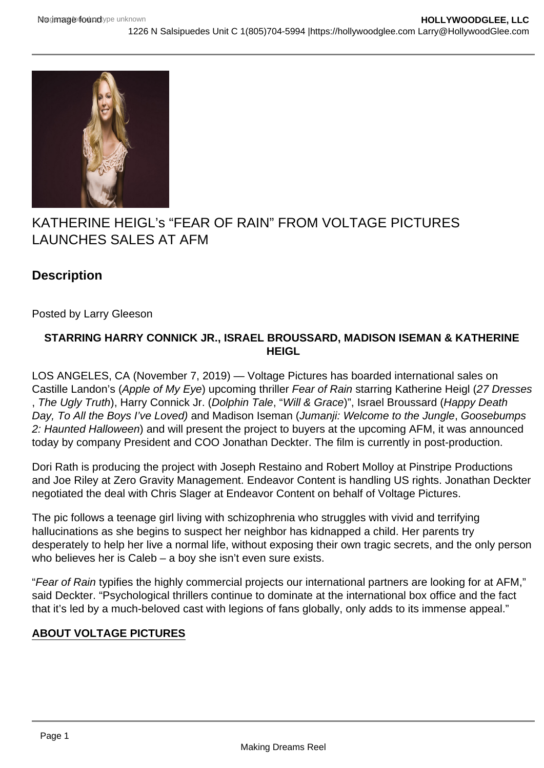

# KATHERINE HEIGL's "FEAR OF RAIN" FROM VOLTAGE PICTURES LAUNCHES SALES AT AFM

## **Description**

Posted by Larry Gleeson

#### **STARRING HARRY CONNICK JR., ISRAEL BROUSSARD, MADISON ISEMAN & KATHERINE HEIGL**

LOS ANGELES, CA (November 7, 2019) — Voltage Pictures has boarded international sales on Castille Landon's (Apple of My Eye) upcoming thriller Fear of Rain starring Katherine Heigl (27 Dresses , The Ugly Truth), Harry Connick Jr. (Dolphin Tale, "Will & Grace)", Israel Broussard (Happy Death Day, To All the Boys I've Loved) and Madison Iseman (Jumanji: Welcome to the Jungle, Goosebumps 2: Haunted Halloween) and will present the project to buyers at the upcoming AFM, it was announced today by company President and COO Jonathan Deckter. The film is currently in post-production.

Dori Rath is producing the project with Joseph Restaino and Robert Molloy at Pinstripe Productions and Joe Riley at Zero Gravity Management. Endeavor Content is handling US rights. Jonathan Deckter negotiated the deal with Chris Slager at Endeavor Content on behalf of Voltage Pictures.

The pic follows a teenage girl living with schizophrenia who struggles with vivid and terrifying hallucinations as she begins to suspect her neighbor has kidnapped a child. Her parents try desperately to help her live a normal life, without exposing their own tragic secrets, and the only person who believes her is Caleb – a boy she isn't even sure exists.

"Fear of Rain typifies the highly commercial projects our international partners are looking for at AFM," said Deckter. "Psychological thrillers continue to dominate at the international box office and the fact that it's led by a much-beloved cast with legions of fans globally, only adds to its immense appeal."

### **ABOUT VOLTAGE PICTURES**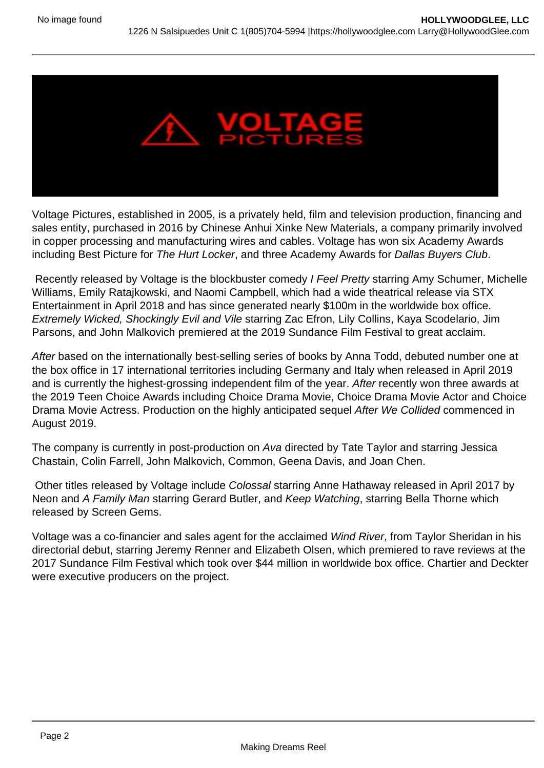

Voltage Pictures, established in 2005, is a privately held, film and television production, financing and sales entity, purchased in 2016 by Chinese Anhui Xinke New Materials, a company primarily involved in copper processing and manufacturing wires and cables. Voltage has won six Academy Awards including Best Picture for The Hurt Locker, and three Academy Awards for Dallas Buyers Club.

Recently released by Voltage is the blockbuster comedy I Feel Pretty starring Amy Schumer, Michelle Williams, Emily Ratajkowski, and Naomi Campbell, which had a wide theatrical release via STX Entertainment in April 2018 and has since generated nearly \$100m in the worldwide box office. Extremely Wicked, Shockingly Evil and Vile starring Zac Efron, Lily Collins, Kaya Scodelario, Jim Parsons, and John Malkovich premiered at the 2019 Sundance Film Festival to great acclaim.

After based on the internationally best-selling series of books by Anna Todd, debuted number one at the box office in 17 international territories including Germany and Italy when released in April 2019 and is currently the highest-grossing independent film of the year. After recently won three awards at the 2019 Teen Choice Awards including Choice Drama Movie, Choice Drama Movie Actor and Choice Drama Movie Actress. Production on the highly anticipated sequel After We Collided commenced in August 2019.

The company is currently in post-production on Ava directed by Tate Taylor and starring Jessica Chastain, Colin Farrell, John Malkovich, Common, Geena Davis, and Joan Chen.

Other titles released by Voltage include Colossal starring Anne Hathaway released in April 2017 by Neon and A Family Man starring Gerard Butler, and Keep Watching, starring Bella Thorne which released by Screen Gems.

Voltage was a co-financier and sales agent for the acclaimed Wind River, from Taylor Sheridan in his directorial debut, starring Jeremy Renner and Elizabeth Olsen, which premiered to rave reviews at the 2017 Sundance Film Festival which took over \$44 million in worldwide box office. Chartier and Deckter were executive producers on the project.